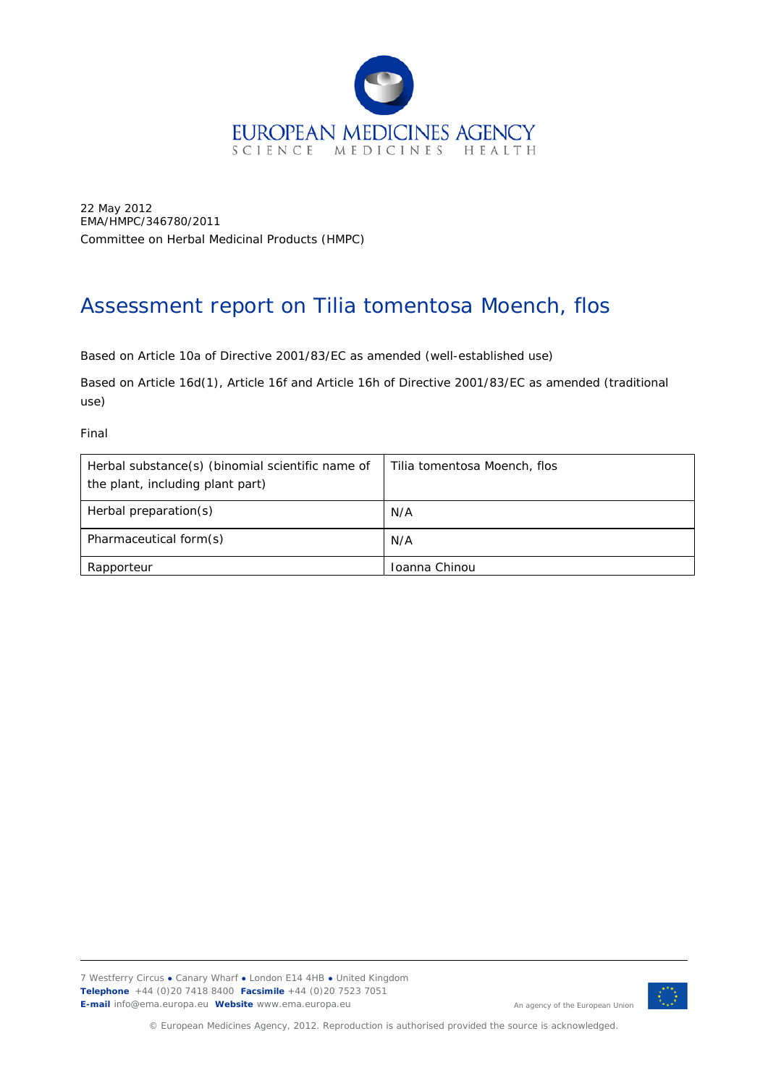

22 May 2012 EMA/HMPC/346780/2011 Committee on Herbal Medicinal Products (HMPC)

# Assessment report on *Tilia tomentosa* Moench, flos

Based on Article 10a of Directive 2001/83/EC as amended (well-established use)

Based on Article 16d(1), Article 16f and Article 16h of Directive 2001/83/EC as amended (traditional use)

Final

| Herbal substance(s) (binomial scientific name of<br>the plant, including plant part) | Tilia tomentosa Moench, flos |
|--------------------------------------------------------------------------------------|------------------------------|
| Herbal preparation(s)                                                                | N/A                          |
| Pharmaceutical form(s)                                                               | N/A                          |
| Rapporteur                                                                           | Toanna Chinou                |



An agency of the European Union

© European Medicines Agency, 2012. Reproduction is authorised provided the source is acknowledged.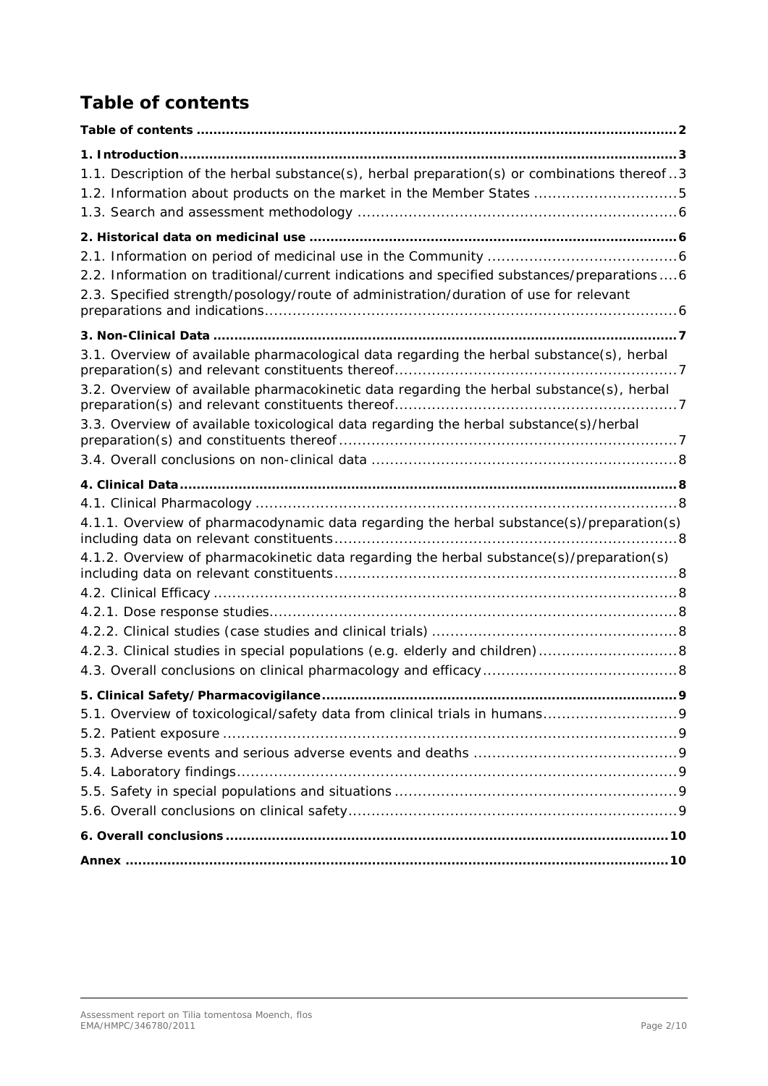# <span id="page-1-0"></span>**Table of contents**

| 1.1. Description of the herbal substance(s), herbal preparation(s) or combinations thereof3 |  |
|---------------------------------------------------------------------------------------------|--|
| 1.2. Information about products on the market in the Member States 5                        |  |
|                                                                                             |  |
|                                                                                             |  |
|                                                                                             |  |
| 2.2. Information on traditional/current indications and specified substances/preparations6  |  |
| 2.3. Specified strength/posology/route of administration/duration of use for relevant       |  |
|                                                                                             |  |
| 3.1. Overview of available pharmacological data regarding the herbal substance(s), herbal   |  |
| 3.2. Overview of available pharmacokinetic data regarding the herbal substance(s), herbal   |  |
| 3.3. Overview of available toxicological data regarding the herbal substance(s)/herbal      |  |
|                                                                                             |  |
|                                                                                             |  |
|                                                                                             |  |
| 4.1.1. Overview of pharmacodynamic data regarding the herbal substance(s)/preparation(s)    |  |
| 4.1.2. Overview of pharmacokinetic data regarding the herbal substance(s)/preparation(s)    |  |
|                                                                                             |  |
|                                                                                             |  |
|                                                                                             |  |
| 4.2.3. Clinical studies in special populations (e.g. elderly and children) 8                |  |
|                                                                                             |  |
|                                                                                             |  |
|                                                                                             |  |
|                                                                                             |  |
|                                                                                             |  |
|                                                                                             |  |
|                                                                                             |  |
|                                                                                             |  |
|                                                                                             |  |
|                                                                                             |  |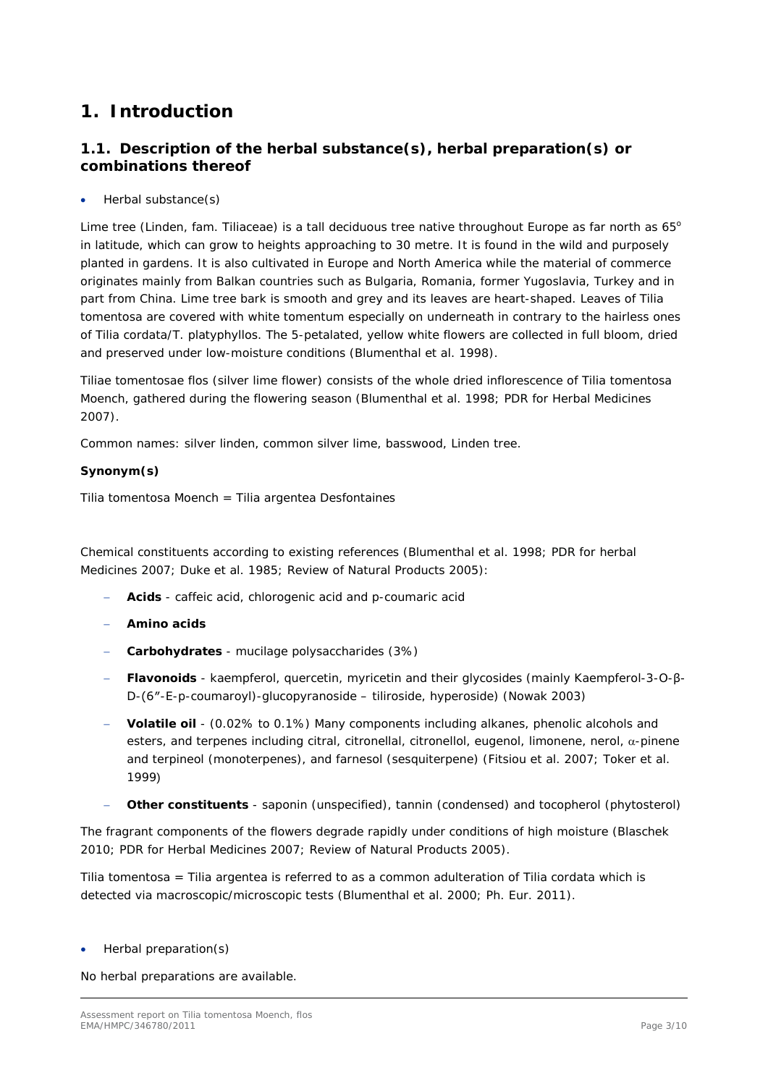## <span id="page-2-0"></span>**1. Introduction**

## <span id="page-2-1"></span>*1.1. Description of the herbal substance(s), herbal preparation(s) or combinations thereof*

• Herbal substance(s)

Lime tree (Linden, fam. Tiliaceae) is a tall deciduous tree native throughout Europe as far north as  $65^{\circ}$ in latitude, which can grow to heights approaching to 30 metre. It is found in the wild and purposely planted in gardens. It is also cultivated in Europe and North America while the material of commerce originates mainly from Balkan countries such as Bulgaria, Romania, former Yugoslavia, Turkey and in part from China. Lime tree bark is smooth and grey and its leaves are heart-shaped. Leaves of *Tilia tomentosa* are covered with white tomentum especially on underneath in contrary to the hairless ones of *Tilia cordata/T. platyphyllos*. The 5-petalated, yellow white flowers are collected in full bloom, dried and preserved under low-moisture conditions (Blumenthal *et al.* 1998).

Tiliae tomentosae flos (silver lime flower) consists of the whole dried inflorescence of *Tilia tomentosa*  Moench, gathered during the flowering season (Blumenthal *et al.* 1998; PDR for Herbal Medicines 2007).

Common names: silver linden, common silver lime, basswood, Linden tree.

#### **Synonym(s)**

*Tilia tomentosa* Moench = *Tilia argentea* Desfontaines

Chemical constituents according to existing references (Blumenthal *et al.* 1998; PDR for herbal Medicines 2007; Duke *et al.* 1985; Review of Natural Products 2005):

- − **Acids** caffeic acid, chlorogenic acid and *p*-coumaric acid
- − **Amino acids**
- − **Carbohydrates** mucilage polysaccharides (3%)
- − **Flavonoids** kaempferol, quercetin, myricetin and their glycosides (mainly Kaempferol-3-O-β-D-(6″-E-p-coumaroyl)-glucopyranoside – tiliroside, hyperoside) (Nowak 2003)
- − **Volatile oil** (0.02% to 0.1%) Many components including alkanes, phenolic alcohols and esters, and terpenes including citral, citronellal, citronellol, eugenol, limonene, nerol, α-pinene and terpineol (monoterpenes), and farnesol (sesquiterpene) (Fitsiou *et al.* 2007; Toker *et al.* 1999)
- − **Other constituents** saponin (unspecified), tannin (condensed) and tocopherol (phytosterol)

The fragrant components of the flowers degrade rapidly under conditions of high moisture (Blaschek 2010; PDR for Herbal Medicines 2007; Review of Natural Products 2005).

*Tilia tomentosa* = *Tilia argentea* is referred to as a common adulteration of *Tilia cordata* which is detected via macroscopic/microscopic tests (Blumenthal *et al.* 2000; Ph. Eur. 2011)*.*

• Herbal preparation(s)

No herbal preparations are available.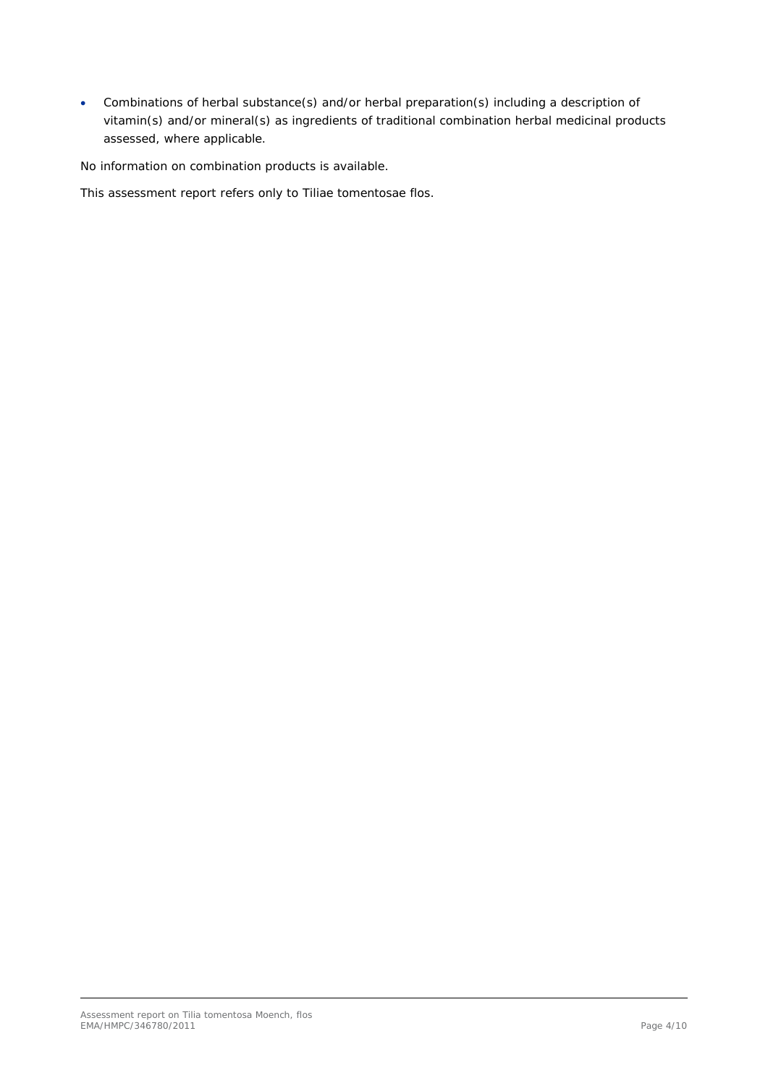• Combinations of herbal substance(s) and/or herbal preparation(s) including a description of vitamin(s) and/or mineral(s) as ingredients of traditional combination herbal medicinal products assessed, where applicable.

No information on combination products is available.

This assessment report refers only to Tiliae tomentosae flos.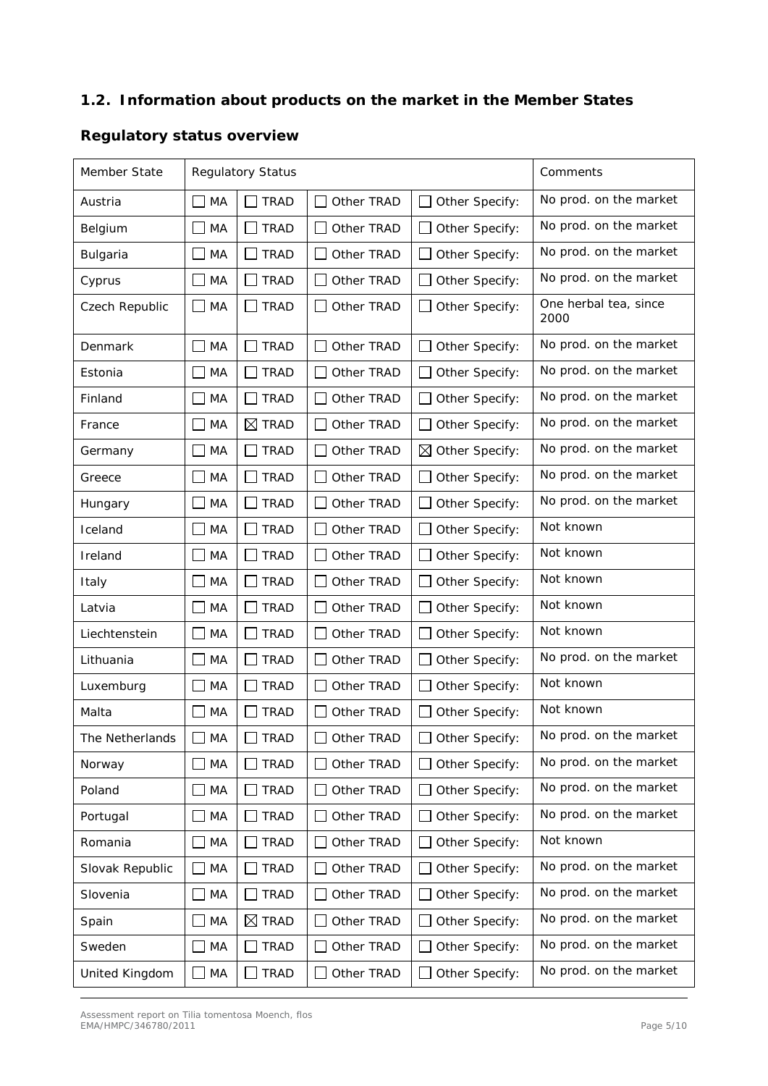### <span id="page-4-0"></span>*1.2. Information about products on the market in the Member States*

# Member State Regulatory Status Comments Austria  $\Box$  MA  $\Box$  TRAD  $\Box$  Other TRAD  $\Box$  Other Specify: No prod. on the market Belgium  $\Box$  MA  $\Box$  TRAD  $\Box$  Other TRAD  $\Box$  Other Specify: No prod. on the market Bulgaria  $\Box$  MA  $\Box$  TRAD  $\Box$  Other TRAD  $\Box$  Other Specify: No prod. on the market Cyprus  $\Box$  MA  $\Box$  TRAD  $\Box$  Other TRAD  $\Box$  Other Specify: No prod. on the market Czech Republic  $\Box$  MA  $\Box$  TRAD  $\Box$  Other TRAD  $\Box$  Other Specify:  $\Box$  One herbal tea, since 2000 Denmark  $\Box$  MA  $\Box$  TRAD  $\Box$  Other TRAD  $\Box$  Other Specify: No prod. on the market Estonia  $\Box$  MA  $\Box$  TRAD  $\Box$  Other TRAD  $\Box$  Other Specify: No prod. on the market Finland  $\Box$  MA  $\Box$  TRAD  $\Box$  Other TRAD  $\Box$  Other Specify: No prod. on the market France  $\Box$  MA  $\Box$  TRAD  $\Box$  Other TRAD  $\Box$  Other Specify: No prod. on the market Germany  $\Box$  MA  $\Box$  TRAD  $\Box$  Other TRAD  $\Box$  Other Specify: No prod. on the market Greece  $\Box$  MA  $\Box$  TRAD  $\Box$  Other TRAD  $\Box$  Other Specify: No prod. on the market Hungary  $\Box$  MA  $\Box$  TRAD  $\Box$  Other TRAD  $\Box$  Other Specify: No prod. on the market Iceland  $\Box$  MA  $\Box$  TRAD  $\Box$  Other TRAD  $\Box$  Other Specify: Not known Ireland  $\Box$  MA  $\Box$  TRAD  $\Box$  Other TRAD  $\Box$  Other Specify: Not known Italy  $\Box$  MA  $\Box$  TRAD  $\Box$  Other TRAD  $\Box$  Other Specify: Not known Latvia  $\Box$  MA  $\Box$  TRAD  $\Box$  Other TRAD  $\Box$  Other Specify: Not known Liechtenstein  $\Box$  MA  $\Box$  TRAD  $\Box$  Other TRAD  $\Box$  Other Specify: Not known Lithuania  $\Box$  MA  $\Box$  TRAD  $\Box$  Other TRAD  $\Box$  Other Specify: No prod. on the market Luxemburg  $\Box$  MA  $\Box$  TRAD  $\Box$  Other TRAD  $\Box$  Other Specify: Not known Malta  $\Box$  MA  $\Box$  TRAD  $\Box$  Other TRAD  $\Box$  Other Specify: Not known The Netherlands  $\Box$  MA  $\Box$  TRAD  $\Box$  Other TRAD  $\Box$  Other Specify:  $\Box$  No prod. on the market Norway  $\Box$  MA  $\Box$  TRAD  $\Box$  Other TRAD  $\Box$  Other Specify: No prod. on the market Poland  $\Box$  MA  $\Box$  TRAD  $\Box$  Other TRAD  $\Box$  Other Specify: No prod. on the market Portugal  $\Box$  MA  $\Box$  TRAD  $\Box$  Other TRAD  $\Box$  Other Specify: No prod. on the market Romania  $\Box$  MA  $\Box$  TRAD  $\Box$  Other TRAD  $\Box$  Other Specify: Not known Slovak Republic  $\Box$  MA  $\Box$  TRAD  $\Box$  Other TRAD  $\Box$  Other Specify:  $\Box$  No prod. on the market Slovenia  $\Box$  MA  $\Box$  TRAD  $\Box$  Other TRAD  $\Box$  Other Specify: No prod. on the market Spain  $\Box$  MA  $\Box$  TRAD  $\Box$  Other TRAD  $\Box$  Other Specify: No prod. on the market Sweden  $\Box$  MA  $\Box$  TRAD  $\Box$  Other TRAD  $\Box$  Other Specify: No prod. on the market United Kingdom  $\Box$  MA  $\Box$  TRAD  $\Box$  Other TRAD  $\Box$  Other Specify:  $\Box$  No prod. on the market

### **Regulatory status overview**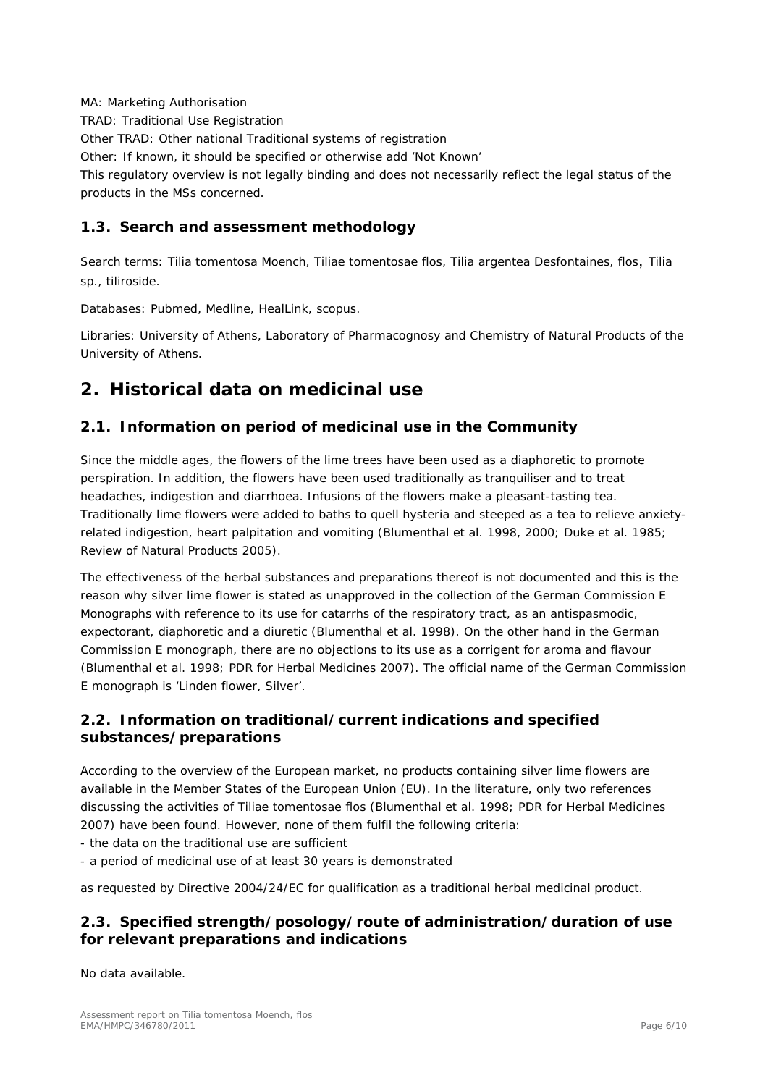MA: Marketing Authorisation

TRAD: Traditional Use Registration

Other TRAD: Other national Traditional systems of registration

Other: If known, it should be specified or otherwise add 'Not Known'

This regulatory overview is not legally binding and does not necessarily reflect the legal status of the products in the MSs concerned.

## <span id="page-5-0"></span>*1.3. Search and assessment methodology*

Search terms: *Tilia tomentosa* Moench, Tiliae tomentosae flos, *Tilia argentea* Desfontaines, flos, *Tilia* sp., tiliroside.

Databases: Pubmed, Medline, HealLink, scopus.

Libraries: University of Athens, Laboratory of Pharmacognosy and Chemistry of Natural Products of the University of Athens.

## <span id="page-5-1"></span>**2. Historical data on medicinal use**

## <span id="page-5-2"></span>*2.1. Information on period of medicinal use in the Community*

Since the middle ages, the flowers of the lime trees have been used as a diaphoretic to promote perspiration. In addition, the flowers have been used traditionally as tranquiliser and to treat headaches, indigestion and diarrhoea. Infusions of the flowers make a pleasant-tasting tea. Traditionally lime flowers were added to baths to quell hysteria and steeped as a tea to relieve anxietyrelated indigestion, heart palpitation and vomiting (Blumenthal *et al.* 1998, 2000; Duke *et al.* 1985; Review of Natural Products 2005).

The effectiveness of the herbal substances and preparations thereof is not documented and this is the reason why silver lime flower is stated as unapproved in the collection of the German Commission E Monographs with reference to its use for catarrhs of the respiratory tract, as an antispasmodic, expectorant, diaphoretic and a diuretic (Blumenthal *et al.* 1998). On the other hand in the German Commission E monograph, there are no objections to its use as a corrigent for aroma and flavour (Blumenthal *et al.* 1998; PDR for Herbal Medicines 2007). The official name of the German Commission E monograph is 'Linden flower, Silver'.

## <span id="page-5-3"></span>*2.2. Information on traditional/current indications and specified substances/preparations*

According to the overview of the European market, no products containing silver lime flowers are available in the Member States of the European Union (EU). In the literature, only two references discussing the activities of Tiliae tomentosae flos (Blumenthal *et al.* 1998; PDR for Herbal Medicines 2007) have been found. However, none of them fulfil the following criteria:

- the data on the traditional use are sufficient

- a period of medicinal use of at least 30 years is demonstrated

as requested by Directive 2004/24/EC for qualification as a traditional herbal medicinal product.

## <span id="page-5-4"></span>*2.3. Specified strength/posology/route of administration/duration of use for relevant preparations and indications*

No data available.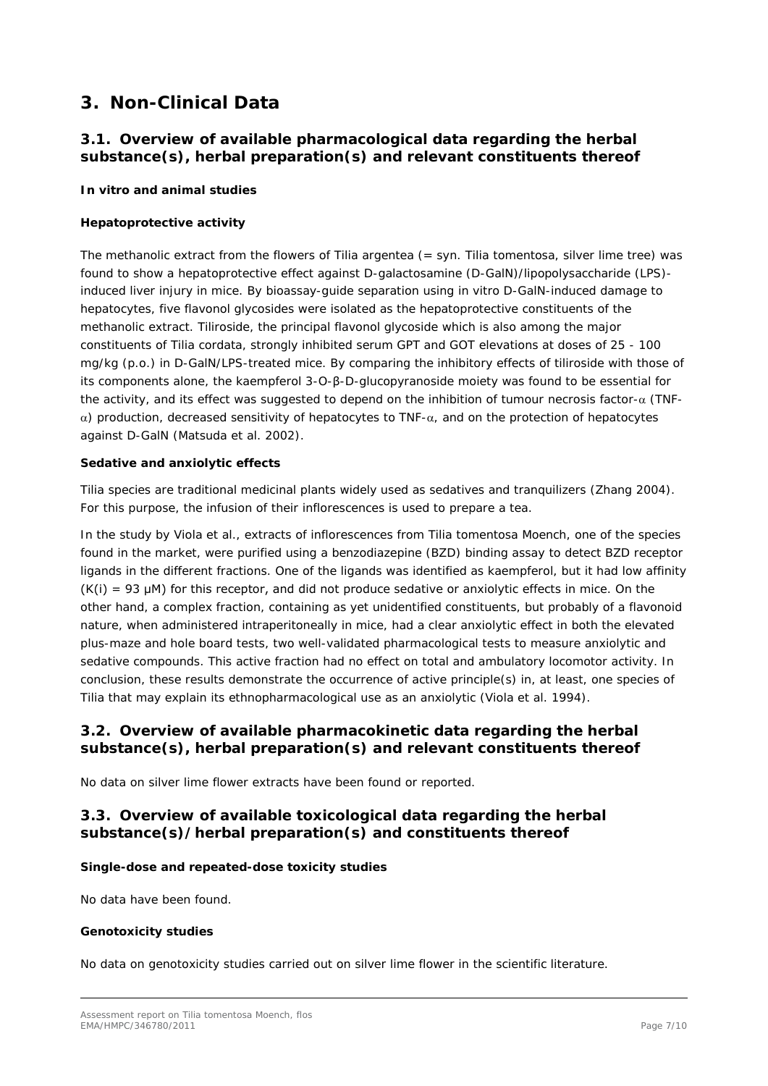## <span id="page-6-0"></span>**3. Non-Clinical Data**

### <span id="page-6-1"></span>*3.1. Overview of available pharmacological data regarding the herbal substance(s), herbal preparation(s) and relevant constituents thereof*

#### *In vitro and animal studies*

#### **Hepatoprotective activity**

The methanolic extract from the flowers of *Tilia argentea* (= syn. *Tilia tomentosa*, silver lime tree) was found to show a hepatoprotective effect against D-galactosamine (D-GalN)/lipopolysaccharide (LPS) induced liver injury in mice. By bioassay-guide separation using *in vitro* D-GalN-induced damage to hepatocytes, five flavonol glycosides were isolated as the hepatoprotective constituents of the methanolic extract. Tiliroside, the principal flavonol glycoside which is also among the major constituents of *Tilia cordata*, strongly inhibited serum GPT and GOT elevations at doses of 25 - 100 mg/kg (p.o.) in D-GalN/LPS-treated mice. By comparing the inhibitory effects of tiliroside with those of its components alone, the kaempferol 3-O-β-D-glucopyranoside moiety was found to be essential for the activity, and its effect was suggested to depend on the inhibition of tumour necrosis factor-α (TNFα) production, decreased sensitivity of hepatocytes to TNF-α, and on the protection of hepatocytes against D-GalN (Matsuda *et al*. 2002).

#### **Sedative and anxiolytic effects**

*Tilia* species are traditional medicinal plants widely used as sedatives and tranquilizers (Zhang 2004). For this purpose, the infusion of their inflorescences is used to prepare a tea.

In the study by Viola *et al.*, extracts of inflorescences from *Tilia tomentosa* Moench, one of the species found in the market, were purified using a benzodiazepine (BZD) binding assay to detect BZD receptor ligands in the different fractions. One of the ligands was identified as kaempferol, but it had low affinity  $(K(i) = 93 \mu M)$  for this receptor, and did not produce sedative or anxiolytic effects in mice. On the other hand, a complex fraction, containing as yet unidentified constituents, but probably of a flavonoid nature, when administered intraperitoneally in mice, had a clear anxiolytic effect in both the elevated plus-maze and hole board tests, two well-validated pharmacological tests to measure anxiolytic and sedative compounds. This active fraction had no effect on total and ambulatory locomotor activity. In conclusion, these results demonstrate the occurrence of active principle(s) in, at least, one species of *Tilia* that may explain its ethnopharmacological use as an anxiolytic [\(Viola](http://www.sciencedirect.com/science?_ob=ArticleURL&_udi=B6T99-4CWS5BB-2&_user=275166&_coverDate=08%2F20%2F2004&_rdoc=1&_fmt=high&_orig=gateway&_origin=gateway&_sort=d&_docanchor=&view=c&_acct=C000059642&_version=1&_urlVersion=0&_userid=275166&md5=f27dd3a99526a09a487f83f59bbdaa52&searchtype=a#bbib318#bbib318) *et al.* 1994).

### <span id="page-6-2"></span>*3.2. Overview of available pharmacokinetic data regarding the herbal substance(s), herbal preparation(s) and relevant constituents thereof*

No data on silver lime flower extracts have been found or reported.

### <span id="page-6-3"></span>*3.3. Overview of available toxicological data regarding the herbal substance(s)/herbal preparation(s) and constituents thereof*

#### **Single-dose and repeated-dose toxicity studies**

No data have been found.

#### **Genotoxicity studies**

No data on genotoxicity studies carried out on silver lime flower in the scientific literature.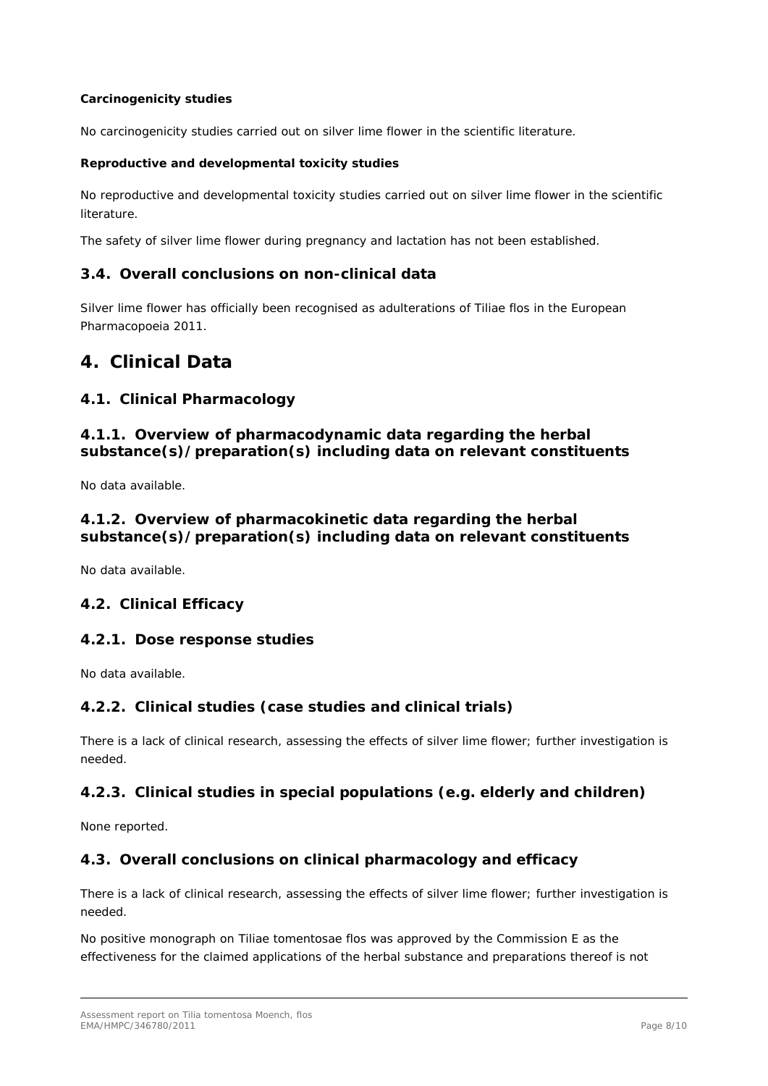#### **Carcinogenicity studies**

No carcinogenicity studies carried out on silver lime flower in the scientific literature.

#### **Reproductive and developmental toxicity studies**

No reproductive and developmental toxicity studies carried out on silver lime flower in the scientific literature.

The safety of silver lime flower during pregnancy and lactation has not been established.

#### <span id="page-7-0"></span>*3.4. Overall conclusions on non-clinical data*

Silver lime flower has officially been recognised as adulterations of Tiliae flos in the European Pharmacopoeia 2011.

## <span id="page-7-1"></span>**4. Clinical Data**

#### <span id="page-7-2"></span>*4.1. Clinical Pharmacology*

### <span id="page-7-3"></span>**4.1.1. Overview of pharmacodynamic data regarding the herbal substance(s)/preparation(s) including data on relevant constituents**

No data available.

### <span id="page-7-4"></span>**4.1.2. Overview of pharmacokinetic data regarding the herbal substance(s)/preparation(s) including data on relevant constituents**

No data available.

#### <span id="page-7-5"></span>*4.2. Clinical Efficacy*

#### <span id="page-7-6"></span>**4.2.1. Dose response studies**

No data available.

#### <span id="page-7-7"></span>**4.2.2. Clinical studies (case studies and clinical trials)**

There is a lack of clinical research, assessing the effects of silver lime flower; further investigation is needed.

#### <span id="page-7-8"></span>**4.2.3. Clinical studies in special populations (e.g. elderly and children)**

None reported.

#### <span id="page-7-9"></span>*4.3. Overall conclusions on clinical pharmacology and efficacy*

There is a lack of clinical research, assessing the effects of silver lime flower; further investigation is needed.

No positive monograph on Tiliae tomentosae flos was approved by the Commission E as the effectiveness for the claimed applications of the herbal substance and preparations thereof is not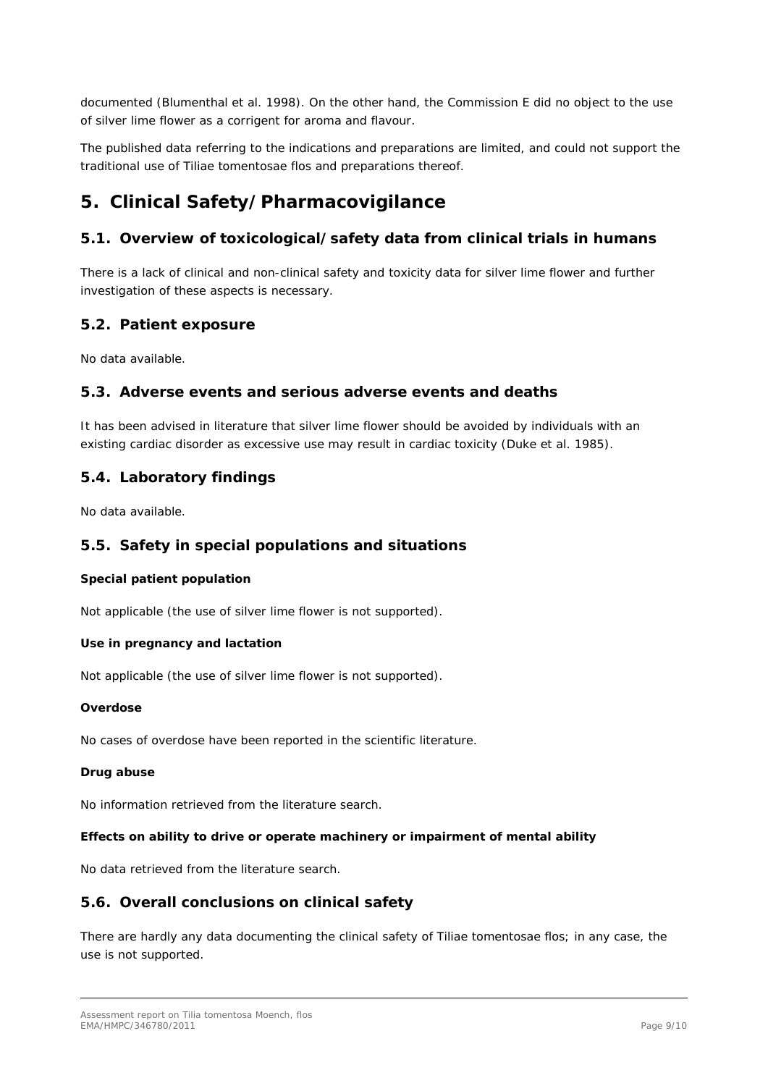documented (Blumenthal *et al.* 1998*)*. On the other hand, the Commission E did no object to the use of silver lime flower as a corrigent for aroma and flavour.

The published data referring to the indications and preparations are limited, and could not support the traditional use of Tiliae tomentosae flos and preparations thereof.

## <span id="page-8-0"></span>**5. Clinical Safety/Pharmacovigilance**

## <span id="page-8-1"></span>*5.1. Overview of toxicological/safety data from clinical trials in humans*

There is a lack of clinical and non-clinical safety and toxicity data for silver lime flower and further investigation of these aspects is necessary.

#### <span id="page-8-2"></span>*5.2. Patient exposure*

No data available.

#### <span id="page-8-3"></span>*5.3. Adverse events and serious adverse events and deaths*

It has been advised in literature that silver lime flower should be avoided by individuals with an existing cardiac disorder as excessive use may result in cardiac toxicity (Duke *et al.* 1985).

#### <span id="page-8-4"></span>*5.4. Laboratory findings*

No data available.

#### <span id="page-8-5"></span>*5.5. Safety in special populations and situations*

#### **Special patient population**

Not applicable (the use of silver lime flower is not supported).

#### **Use in pregnancy and lactation**

Not applicable (the use of silver lime flower is not supported).

#### **Overdose**

No cases of overdose have been reported in the scientific literature.

#### **Drug abuse**

No information retrieved from the literature search.

#### **Effects on ability to drive or operate machinery or impairment of mental ability**

No data retrieved from the literature search.

#### <span id="page-8-6"></span>*5.6. Overall conclusions on clinical safety*

There are hardly any data documenting the clinical safety of Tiliae tomentosae flos; in any case, the use is not supported.